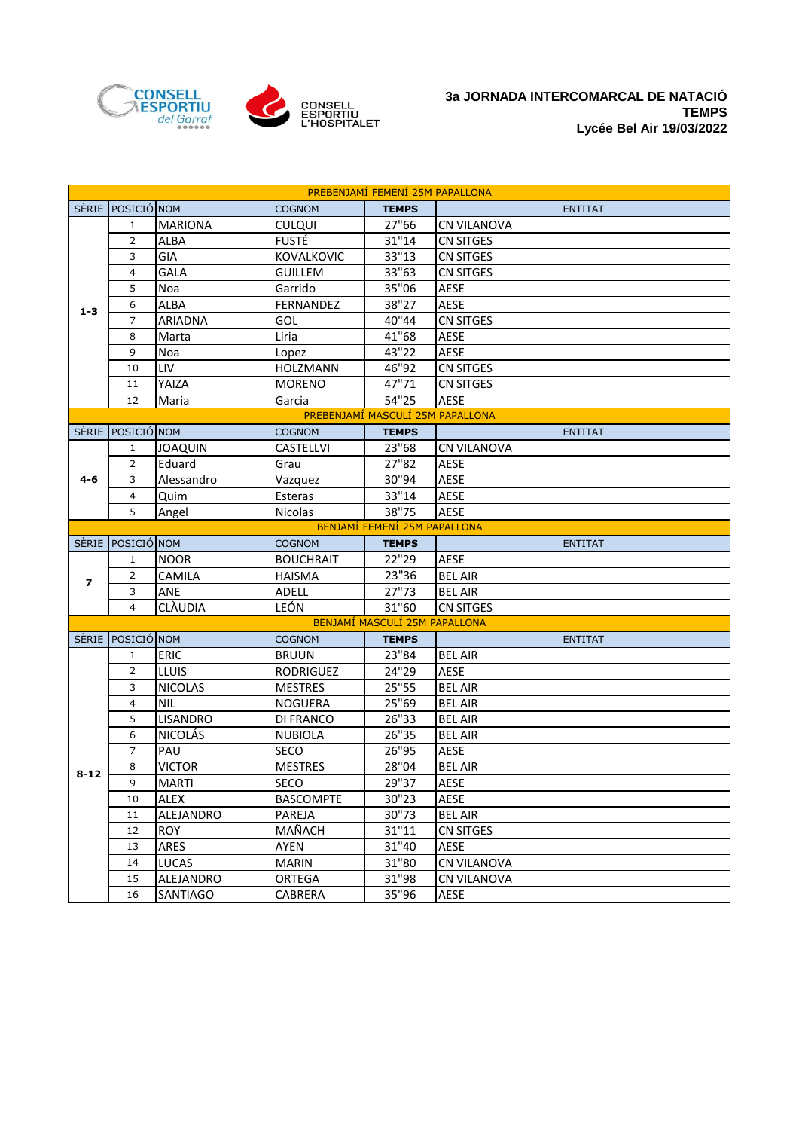

| PREBENJAMÍ FEMENÍ 25M PAPALLONA |                   |                 |                  |                                  |                    |  |
|---------------------------------|-------------------|-----------------|------------------|----------------------------------|--------------------|--|
|                                 | SÈRIE POSICIÓ NOM |                 | <b>COGNOM</b>    | <b>TEMPS</b>                     | <b>ENTITAT</b>     |  |
|                                 | 1                 | <b>MARIONA</b>  | <b>CULQUI</b>    | 27"66                            | <b>CN VILANOVA</b> |  |
|                                 | 2                 | ALBA            | <b>FUSTÉ</b>     | 31"14                            | <b>CN SITGES</b>   |  |
|                                 | 3                 | GIA             | KOVALKOVIC       | 33"13                            | <b>CN SITGES</b>   |  |
|                                 | 4                 | <b>GALA</b>     | <b>GUILLEM</b>   | 33"63                            | <b>CN SITGES</b>   |  |
|                                 | 5                 | Noa             | Garrido          | 35"06                            | <b>AESE</b>        |  |
| $1 - 3$                         | 6                 | ALBA            | FERNANDEZ        | 38"27                            | <b>AESE</b>        |  |
|                                 | $\overline{7}$    | ARIADNA         | GOL              | 40"44                            | <b>CN SITGES</b>   |  |
|                                 | 8                 | Marta           | Liria            | 41"68                            | <b>AESE</b>        |  |
|                                 | 9                 | Noa             | Lopez            | 43"22                            | <b>AESE</b>        |  |
|                                 | 10                | LIV             | HOLZMANN         | 46"92                            | <b>CN SITGES</b>   |  |
|                                 | 11                | YAIZA           | <b>MORENO</b>    | 47"71                            | CN SITGES          |  |
|                                 | 12                | Maria           | Garcia           | 54"25                            | <b>AESE</b>        |  |
|                                 |                   |                 |                  | PREBENJAMÍ MASCULÍ 25M PAPALLONA |                    |  |
| <b>SERIE</b>                    | POSICIÓ NOM       |                 | <b>COGNOM</b>    | <b>TEMPS</b>                     | <b>ENTITAT</b>     |  |
|                                 | $\mathbf{1}$      | <b>JOAQUIN</b>  | CASTELLVI        | 23"68                            | CN VILANOVA        |  |
|                                 | $\overline{2}$    | Eduard          | Grau             | 27"82                            | <b>AESE</b>        |  |
| $4 - 6$                         | 3                 | Alessandro      | Vazquez          | 30"94                            | <b>AESE</b>        |  |
|                                 | $\overline{4}$    | Quim            | Esteras          | 33"14                            | <b>AESE</b>        |  |
|                                 | 5                 | Angel           | Nicolas          | 38"75                            | <b>AESE</b>        |  |
|                                 |                   |                 |                  | BENJAMÍ FEMENÍ 25M PAPALLONA     |                    |  |
| <b>SERIE</b>                    | POSICIÓ NOM       |                 | <b>COGNOM</b>    | <b>TEMPS</b>                     | <b>ENTITAT</b>     |  |
|                                 | $\mathbf{1}$      | <b>NOOR</b>     | <b>BOUCHRAIT</b> | 22"29                            | <b>AESE</b>        |  |
| $\overline{\mathbf{z}}$         | 2                 | CAMILA          | <b>HAISMA</b>    | 23"36                            | <b>BEL AIR</b>     |  |
|                                 | 3                 | <b>ANE</b>      | ADELL            | 27"73                            | <b>BEL AIR</b>     |  |
|                                 | $\overline{4}$    | CLÀUDIA         | LEÓN             | 31"60                            | <b>CN SITGES</b>   |  |
|                                 |                   |                 |                  | BENJAMÍ MASCULÍ 25M PAPALLONA    |                    |  |
|                                 | SÈRIE POSICIÓ NOM |                 | <b>COGNOM</b>    | <b>TEMPS</b>                     | <b>ENTITAT</b>     |  |
|                                 | $\mathbf{1}$      | <b>ERIC</b>     | <b>BRUUN</b>     | 23"84                            | <b>BEL AIR</b>     |  |
|                                 | 2                 | <b>LLUIS</b>    | <b>RODRIGUEZ</b> | 24"29                            | <b>AESE</b>        |  |
|                                 | 3                 | <b>NICOLAS</b>  | <b>MESTRES</b>   | 25"55                            | <b>BEL AIR</b>     |  |
|                                 | $\overline{4}$    | <b>NIL</b>      | <b>NOGUERA</b>   | 25"69                            | <b>BEL AIR</b>     |  |
|                                 | 5                 | <b>LISANDRO</b> | <b>DI FRANCO</b> | 26"33                            | <b>BEL AIR</b>     |  |
|                                 | 6                 | <b>NICOLÁS</b>  | <b>NUBIOLA</b>   | 26"35                            | <b>BEL AIR</b>     |  |
|                                 | $\overline{7}$    | PAU             | SECO             | 26"95                            | <b>AESE</b>        |  |
| $8 - 12$                        | 8                 | <b>VICTOR</b>   | <b>MESTRES</b>   | 28"04                            | <b>BEL AIR</b>     |  |
|                                 | 9                 | <b>MARTI</b>    | SECO             | 29"37                            | AESE               |  |
|                                 | 10                | ALEX            | <b>BASCOMPTE</b> | 30"23                            | <b>AESE</b>        |  |
|                                 | 11                | ALEJANDRO       | PAREJA           | 30"73                            | <b>BEL AIR</b>     |  |
|                                 | 12                | <b>ROY</b>      | MAÑACH           | 31"11                            | <b>CN SITGES</b>   |  |
|                                 | 13                | <b>ARES</b>     | AYEN             | 31"40                            | <b>AESE</b>        |  |
|                                 | 14                | <b>LUCAS</b>    | <b>MARIN</b>     | 31"80                            | <b>CN VILANOVA</b> |  |
|                                 | 15                | ALEJANDRO       | ORTEGA           | 31"98                            | <b>CN VILANOVA</b> |  |
|                                 | 16                | SANTIAGO        | CABRERA          | 35"96                            | AESE               |  |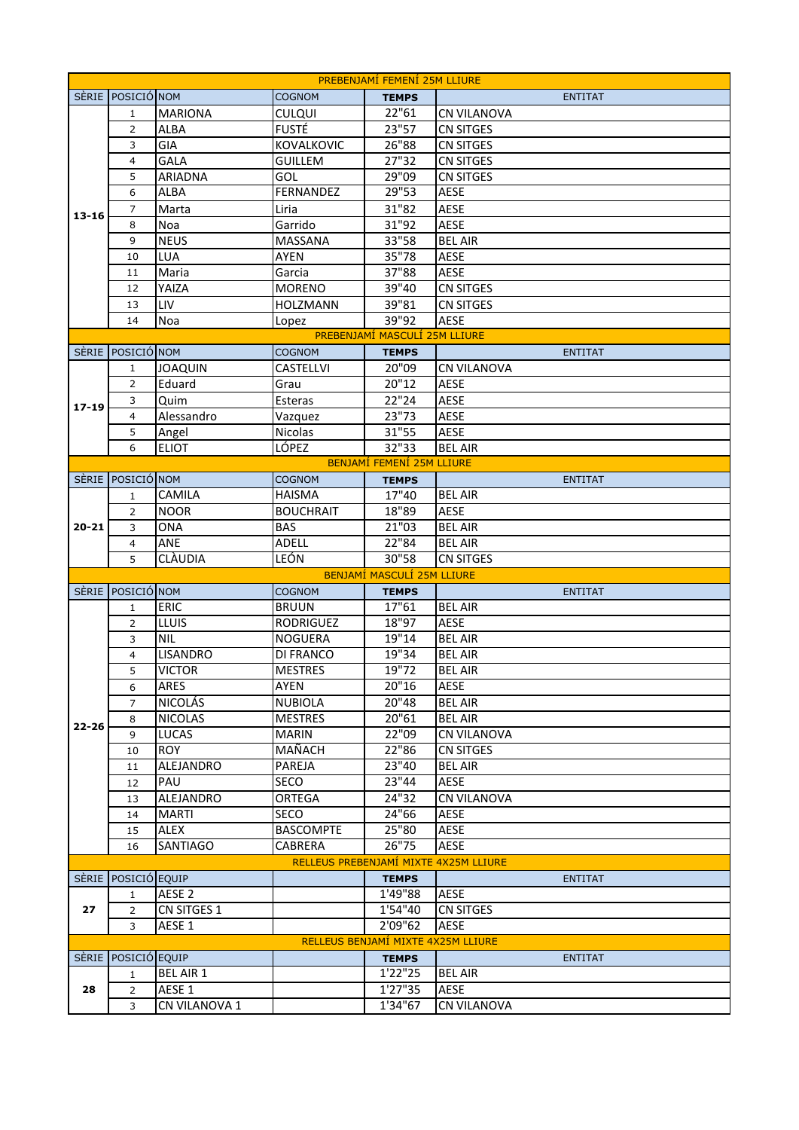| PREBENJAMI FEMENI 25M LLIURE                           |                   |                         |                  |                                    |                                   |  |
|--------------------------------------------------------|-------------------|-------------------------|------------------|------------------------------------|-----------------------------------|--|
|                                                        | SÈRIE POSICIÓ NOM |                         | <b>COGNOM</b>    | <b>TEMPS</b>                       | <b>ENTITAT</b>                    |  |
| $13 - 16$                                              | 1                 | <b>MARIONA</b>          | <b>CULQUI</b>    | 22"61                              | <b>CN VILANOVA</b>                |  |
|                                                        | 2                 | <b>ALBA</b>             | <b>FUSTÉ</b>     | 23"57                              | <b>CN SITGES</b>                  |  |
|                                                        | 3                 | GIA                     | KOVALKOVIC       | 26"88                              | <b>CN SITGES</b>                  |  |
|                                                        | $\overline{4}$    | GALA                    | <b>GUILLEM</b>   | 27"32                              | <b>CN SITGES</b>                  |  |
|                                                        | 5                 | ARIADNA                 | GOL              | 29"09                              | <b>CN SITGES</b>                  |  |
|                                                        | 6                 | ALBA                    | FERNANDEZ        | 29"53                              | <b>AESE</b>                       |  |
|                                                        | $\overline{7}$    | Marta                   | Liria            | 31"82                              | <b>AESE</b>                       |  |
|                                                        | 8                 | Noa                     | Garrido          | 31"92                              | <b>AESE</b>                       |  |
|                                                        | 9                 | <b>NEUS</b>             | <b>MASSANA</b>   | 33"58                              | <b>BEL AIR</b>                    |  |
|                                                        | 10                | <b>LUA</b>              | <b>AYEN</b>      | 35"78                              | AESE                              |  |
|                                                        | 11                | Maria                   | Garcia           | 37"88                              | <b>AESE</b>                       |  |
|                                                        | 12                | YAIZA                   | <b>MORENO</b>    | 39"40                              | <b>CN SITGES</b>                  |  |
|                                                        | 13                | LIV                     | <b>HOLZMANN</b>  | 39"81                              | CN SITGES                         |  |
|                                                        | 14                | Noa                     | Lopez            | 39"92                              | <b>AESE</b>                       |  |
|                                                        |                   |                         |                  | PREBENJAMÍ MASCULÍ 25M LLIURE      |                                   |  |
| <b>SERIE</b>                                           | POSICIÓ NOM       |                         | <b>COGNOM</b>    | <b>TEMPS</b>                       | <b>ENTITAT</b>                    |  |
|                                                        | 1                 | <b>JOAQUIN</b>          | <b>CASTELLVI</b> | 20"09                              | <b>CN VILANOVA</b>                |  |
|                                                        | $\overline{2}$    | Eduard                  | Grau             | 20"12                              | <b>AESE</b>                       |  |
| $17 - 19$                                              | 3                 | Quim                    | Esteras          | 22"24                              | <b>AESE</b>                       |  |
|                                                        | 4                 | Alessandro              | Vazquez          | 23"73                              | <b>AESE</b>                       |  |
|                                                        | 5                 | Angel                   | Nicolas          | 31"55                              | <b>AESE</b>                       |  |
|                                                        | 6                 | <b>ELIOT</b>            | LÓPEZ            | 32"33                              | <b>BEL AIR</b>                    |  |
|                                                        |                   |                         |                  | BENJAMÍ FEMENÍ 25M LLIURE          |                                   |  |
| <b>SERIE</b>                                           | POSICIÓ NOM       |                         | <b>COGNOM</b>    | <b>TEMPS</b>                       | <b>ENTITAT</b>                    |  |
|                                                        | $\mathbf{1}$      | CAMILA                  | <b>HAISMA</b>    | 17"40                              | <b>BEL AIR</b>                    |  |
|                                                        | $\overline{2}$    | <b>NOOR</b>             | <b>BOUCHRAIT</b> | 18"89                              | <b>AESE</b>                       |  |
| $20 - 21$                                              | 3                 | <b>ONA</b>              | <b>BAS</b>       | 21"03                              | <b>BEL AIR</b>                    |  |
|                                                        | $\overline{4}$    | ANE                     | ADELL            | 22"84                              | <b>BEL AIR</b>                    |  |
|                                                        | 5                 | CLÀUDIA                 | LEÓN             | 30"58                              | <b>CN SITGES</b>                  |  |
|                                                        |                   |                         |                  | BENJAMÍ MASCULÍ 25M LLIURE         |                                   |  |
|                                                        | SÈRIE POSICIÓ NOM |                         | <b>COGNOM</b>    | <b>TEMPS</b>                       | <b>ENTITAT</b>                    |  |
|                                                        | $\mathbf{1}$      | <b>ERIC</b>             | <b>BRUUN</b>     | 17"61                              | <b>BEL AIR</b>                    |  |
|                                                        | 2                 | <b>LLUIS</b>            | <b>RODRIGUEZ</b> | 18"97                              | <b>AESE</b>                       |  |
|                                                        | 3                 | <b>NIL</b>              | <b>NOGUERA</b>   | 19"14                              | <b>BEL AIR</b>                    |  |
|                                                        | 4                 | <b>LISANDRO</b>         | DI FRANCO        | 19"34                              | <b>BEL AIR</b>                    |  |
|                                                        | 5 <sup>1</sup>    | <b>VICTOR</b>           | <b>MESTRES</b>   | 19"72                              | <b>BEL AIR</b>                    |  |
|                                                        | 6                 | ARES                    | AYEN             | 20"16                              | <b>AESE</b>                       |  |
|                                                        | $\overline{7}$    | <b>NICOLÁS</b>          | <b>NUBIOLA</b>   | 20"48                              | <b>BEL AIR</b>                    |  |
| $22 - 26$                                              | 8                 | <b>NICOLAS</b>          | <b>MESTRES</b>   | 20"61                              | <b>BEL AIR</b>                    |  |
|                                                        | 9                 | <b>LUCAS</b>            | <b>MARIN</b>     | 22"09                              | CN VILANOVA                       |  |
|                                                        | 10                | <b>ROY</b>              | MAÑACH<br>PAREJA | 22"86<br>23"40                     | <b>CN SITGES</b>                  |  |
|                                                        | 11                | <b>ALEJANDRO</b><br>PAU |                  | 23"44                              | <b>BEL AIR</b><br>AESE            |  |
|                                                        | 12                |                         | SECO             | 24"32                              |                                   |  |
|                                                        | 13                | ALEJANDRO               | ORTEGA<br>SECO   | 24"66                              | <b>CN VILANOVA</b><br><b>AESE</b> |  |
|                                                        | 14                | <b>MARTI</b><br>ALEX    | <b>BASCOMPTE</b> | 25"80                              | <b>AESE</b>                       |  |
|                                                        | 15                |                         |                  | 26"75                              |                                   |  |
|                                                        | 16                | <b>SANTIAGO</b>         | CABRERA          |                                    | <b>AESE</b>                       |  |
| RELLEUS PREBENJAMÍ MIXTE 4X25M LLIURE<br>POSICIÓ EQUIP |                   |                         |                  |                                    |                                   |  |
| <b>SERIE</b>                                           | $\mathbf{1}$      | AESE <sub>2</sub>       |                  | <b>TEMPS</b><br>1'49"88            | <b>ENTITAT</b><br>AESE            |  |
| 27                                                     | $\overline{2}$    | <b>CN SITGES 1</b>      |                  | 1'54''40                           | <b>CN SITGES</b>                  |  |
|                                                        | 3                 | AESE 1                  |                  | 2'09"62                            | <b>AESE</b>                       |  |
|                                                        |                   |                         |                  | RELLEUS BENJAMÍ MIXTE 4X25M LLIURE |                                   |  |
| <b>SERIE</b>                                           | POSICIÓ EQUIP     |                         |                  | <b>TEMPS</b>                       | <b>ENTITAT</b>                    |  |
|                                                        | $\mathbf{1}$      | <b>BEL AIR 1</b>        |                  | 1'22"25                            | <b>BEL AIR</b>                    |  |
| 28                                                     | $\overline{2}$    | AESE 1                  |                  | 1'27"35                            | <b>AESE</b>                       |  |
|                                                        | 3                 | CN VILANOVA 1           |                  | 1'34"67                            | <b>CN VILANOVA</b>                |  |
|                                                        |                   |                         |                  |                                    |                                   |  |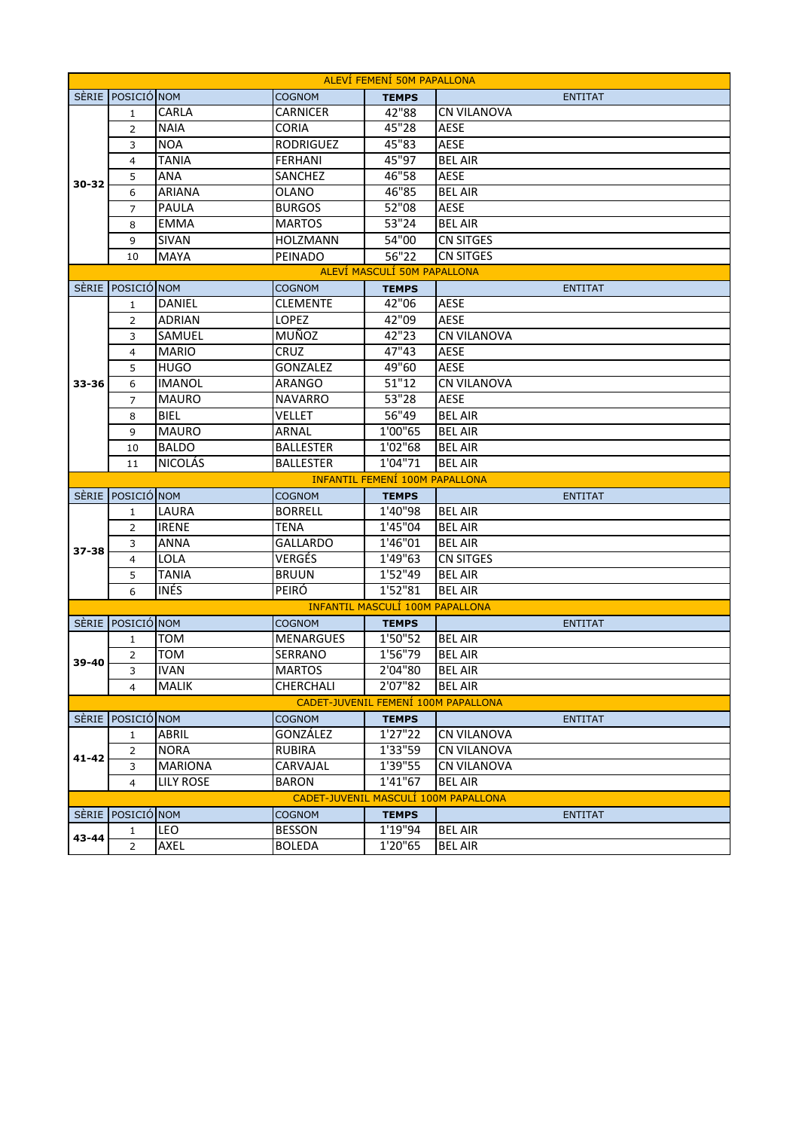| ALEVÍ FEMENÍ 50M PAPALLONA                                                                                   |                                       |                  |                           |                                        |                                      |  |  |  |
|--------------------------------------------------------------------------------------------------------------|---------------------------------------|------------------|---------------------------|----------------------------------------|--------------------------------------|--|--|--|
|                                                                                                              | SÈRIE POSICIÓ NOM                     |                  | <b>COGNOM</b>             | <b>TEMPS</b>                           | <b>ENTITAT</b>                       |  |  |  |
|                                                                                                              | $\mathbf{1}$                          | CARLA            | <b>CARNICER</b>           | 42"88                                  | <b>CN VILANOVA</b>                   |  |  |  |
| 30-32                                                                                                        | 2                                     | <b>NAIA</b>      | CORIA                     | 45"28                                  | <b>AESE</b>                          |  |  |  |
|                                                                                                              | 3                                     | <b>NOA</b>       | <b>RODRIGUEZ</b>          | 45"83                                  | <b>AESE</b>                          |  |  |  |
|                                                                                                              | 4                                     | TANIA            | FERHANI                   | 45"97                                  | <b>BEL AIR</b>                       |  |  |  |
|                                                                                                              | 5                                     | ANA              | SANCHEZ                   | 46"58                                  | AESE                                 |  |  |  |
|                                                                                                              | 6                                     | <b>ARIANA</b>    | OLANO                     | 46"85                                  | <b>BEL AIR</b>                       |  |  |  |
|                                                                                                              | $\overline{7}$                        | PAULA            | <b>BURGOS</b>             | 52"08                                  | <b>AESE</b>                          |  |  |  |
|                                                                                                              | 8                                     | <b>EMMA</b>      | <b>MARTOS</b>             | 53"24                                  | <b>BEL AIR</b>                       |  |  |  |
|                                                                                                              | 9                                     | SIVAN            | <b>HOLZMANN</b>           | 54"00                                  | <b>CN SITGES</b>                     |  |  |  |
|                                                                                                              | 10                                    | <b>MAYA</b>      | PEINADO                   | 56"22                                  | <b>CN SITGES</b>                     |  |  |  |
|                                                                                                              | ALEVÍ MASCULÍ 50M PAPALLONA           |                  |                           |                                        |                                      |  |  |  |
|                                                                                                              | SÈRIE POSICIÓ NOM                     |                  | <b>COGNOM</b>             | <b>TEMPS</b>                           | <b>ENTITAT</b>                       |  |  |  |
|                                                                                                              | 1                                     | DANIEL           | <b>CLEMENTE</b>           | 42"06                                  | <b>AESE</b>                          |  |  |  |
|                                                                                                              | 2                                     | <b>ADRIAN</b>    | <b>LOPEZ</b>              | 42"09                                  | <b>AESE</b>                          |  |  |  |
|                                                                                                              | 3                                     | SAMUEL           | MUÑOZ                     | 42"23                                  | <b>CN VILANOVA</b>                   |  |  |  |
|                                                                                                              | $\overline{4}$                        | <b>MARIO</b>     | <b>CRUZ</b>               | 47"43                                  | <b>AESE</b>                          |  |  |  |
|                                                                                                              | 5                                     | <b>HUGO</b>      | <b>GONZALEZ</b>           | 49"60                                  | <b>AESE</b>                          |  |  |  |
| 33-36                                                                                                        | 6                                     | <b>IMANOL</b>    | ARANGO                    | 51"12                                  | <b>CN VILANOVA</b>                   |  |  |  |
|                                                                                                              | 7                                     | <b>MAURO</b>     | <b>NAVARRO</b>            | 53"28                                  | <b>AESE</b>                          |  |  |  |
|                                                                                                              | 8                                     | <b>BIEL</b>      | <b>VELLET</b>             | 56"49                                  | <b>BEL AIR</b>                       |  |  |  |
|                                                                                                              | 9                                     | <b>MAURO</b>     | ARNAL                     | $\overline{1}$ '00"65                  | <b>BEL AIR</b>                       |  |  |  |
|                                                                                                              | 10                                    | <b>BALDO</b>     | <b>BALLESTER</b>          | 1'02"68                                | <b>BEL AIR</b>                       |  |  |  |
|                                                                                                              | 11                                    | <b>NICOLÁS</b>   | <b>BALLESTER</b>          | 1'04"71                                | <b>BEL AIR</b>                       |  |  |  |
|                                                                                                              | <b>INFANTIL FEMENÍ 100M PAPALLONA</b> |                  |                           |                                        |                                      |  |  |  |
| <b>SERIE</b>                                                                                                 | POSICIÓ NOM                           |                  | <b>COGNOM</b>             | <b>TEMPS</b>                           | <b>ENTITAT</b>                       |  |  |  |
|                                                                                                              | $\mathbf{1}$                          | LAURA            | <b>BORRELL</b>            | 1'40"98                                | <b>BEL AIR</b>                       |  |  |  |
|                                                                                                              | $\overline{2}$                        | <b>IRENE</b>     | <b>TENA</b>               | 1'45"04                                | <b>BEL AIR</b>                       |  |  |  |
| 37-38                                                                                                        | 3                                     | <b>ANNA</b>      | <b>GALLARDO</b>           | 1'46"01                                | <b>BELAIR</b>                        |  |  |  |
|                                                                                                              | $\overline{4}$                        | LOLA             | VERGÉS                    | 1'49"63                                | <b>CN SITGES</b>                     |  |  |  |
|                                                                                                              | 5                                     | TANIA            | <b>BRUUN</b>              | 1'52"49                                | <b>BEL AIR</b>                       |  |  |  |
|                                                                                                              | 6                                     | <b>INÉS</b>      | PEIRÓ                     | 1'52"81                                | <b>BEL AIR</b>                       |  |  |  |
|                                                                                                              |                                       |                  |                           | <b>INFANTIL MASCULÍ 100M PAPALLONA</b> |                                      |  |  |  |
|                                                                                                              | SÈRIE POSICIÓ NOM                     |                  | <b>COGNOM</b>             | <b>TEMPS</b>                           | <b>ENTITAT</b>                       |  |  |  |
|                                                                                                              | $\mathbf{1}$                          | TOM              | <b>MENARGUES</b>          | 1'50"52                                | <b>BEL AIR</b>                       |  |  |  |
| 39-40                                                                                                        | 2                                     | <b>TOM</b>       | SERRANO                   | 1'56"79                                | <b>BEL AIR</b>                       |  |  |  |
|                                                                                                              | $\overline{\mathbf{3}}$               | <b>IVAN</b>      | <b>MARTOS</b>             | 2'04"80                                | <b>BEL AIR</b>                       |  |  |  |
|                                                                                                              | 4                                     | <b>MALIK</b>     | CHERCHALI                 | 2'07"82                                | <b>BEL AIR</b>                       |  |  |  |
| CADET-JUVENIL FEMENÍ 100M PAPALLONA<br>POSICIÓ NOM                                                           |                                       |                  |                           |                                        |                                      |  |  |  |
| <b>SERIE</b>                                                                                                 |                                       | ABRIL            | <b>COGNOM</b><br>GONZÁLEZ | <b>TEMPS</b><br>1'27"22                | <b>ENTITAT</b><br><b>CN VILANOVA</b> |  |  |  |
|                                                                                                              | $\mathbf{1}$<br>2                     | <b>NORA</b>      | RUBIRA                    | 1'33"59                                | <b>CN VILANOVA</b>                   |  |  |  |
| 41-42                                                                                                        | 3                                     | <b>MARIONA</b>   | CARVAJAL                  | 1'39"55                                | <b>CN VILANOVA</b>                   |  |  |  |
|                                                                                                              | 4                                     | <b>LILY ROSE</b> | <b>BARON</b>              | 1'41"67                                | <b>BEL AIR</b>                       |  |  |  |
|                                                                                                              |                                       |                  |                           |                                        |                                      |  |  |  |
| CADET-JUVENIL MASCULÍ 100M PAPALLONA<br>SÈRIE POSICIÓ NOM<br><b>TEMPS</b><br><b>COGNOM</b><br><b>ENTITAT</b> |                                       |                  |                           |                                        |                                      |  |  |  |
|                                                                                                              | $\mathbf{1}$                          | <b>LEO</b>       | <b>BESSON</b>             | 1'19"94                                | <b>BEL AIR</b>                       |  |  |  |
| 43-44                                                                                                        | $\overline{2}$                        | AXEL             | <b>BOLEDA</b>             | 1'20"65                                | <b>BEL AIR</b>                       |  |  |  |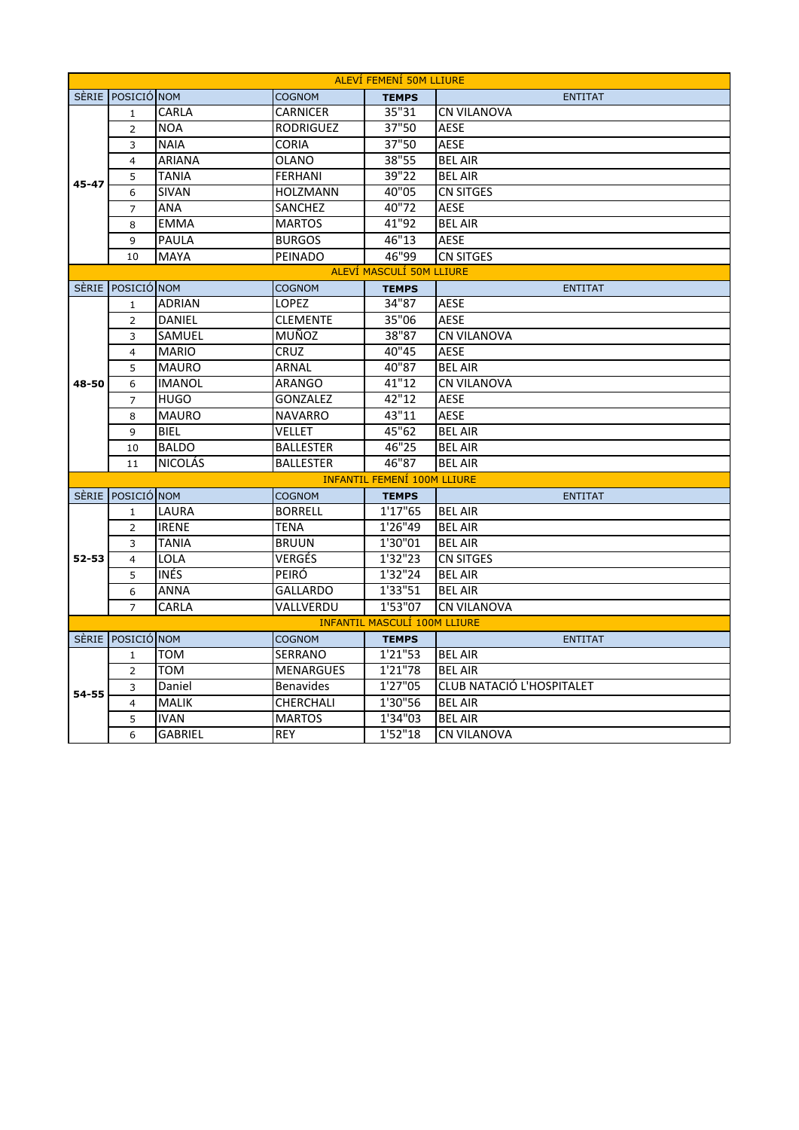| <b>ALEVÍ FEMENÍ 50M LLIURE</b>      |                   |                |                  |                                    |                           |  |  |
|-------------------------------------|-------------------|----------------|------------------|------------------------------------|---------------------------|--|--|
|                                     | SÈRIE POSICIÓ NOM |                | <b>COGNOM</b>    | <b>TEMPS</b>                       | <b>ENTITAT</b>            |  |  |
| $45 - 47$                           | $\mathbf{1}$      | CARLA          | <b>CARNICER</b>  | 35"31                              | <b>CN VILANOVA</b>        |  |  |
|                                     | 2                 | <b>NOA</b>     | <b>RODRIGUEZ</b> | 37"50                              | <b>AESE</b>               |  |  |
|                                     | 3                 | <b>NAIA</b>    | <b>CORIA</b>     | 37"50                              | <b>AESE</b>               |  |  |
|                                     | $\overline{4}$    | <b>ARIANA</b>  | <b>OLANO</b>     | 38"55                              | <b>BEL AIR</b>            |  |  |
|                                     | 5                 | <b>TANIA</b>   | <b>FERHANI</b>   | 39"22                              | <b>BEL AIR</b>            |  |  |
|                                     | 6                 | <b>SIVAN</b>   | <b>HOLZMANN</b>  | 40"05                              | <b>CN SITGES</b>          |  |  |
|                                     | 7                 | ANA            | <b>SANCHEZ</b>   | 40"72                              | <b>AESE</b>               |  |  |
|                                     | 8                 | <b>EMMA</b>    | <b>MARTOS</b>    | 41"92                              | <b>BEL AIR</b>            |  |  |
|                                     | 9                 | PAULA          | <b>BURGOS</b>    | 46"13                              | <b>AESE</b>               |  |  |
|                                     | 10                | <b>MAYA</b>    | PEINADO          | 46"99                              | <b>CN SITGES</b>          |  |  |
|                                     |                   |                |                  | ALEVÍ MASCULÍ 50M LLIURE           |                           |  |  |
|                                     | SÈRIE POSICIÓ NOM |                | <b>COGNOM</b>    | <b>TEMPS</b>                       | <b>ENTITAT</b>            |  |  |
|                                     | 1                 | <b>ADRIAN</b>  | <b>LOPEZ</b>     | 34"87                              | <b>AESE</b>               |  |  |
|                                     | 2                 | <b>DANIEL</b>  | <b>CLEMENTE</b>  | 35"06                              | <b>AESE</b>               |  |  |
|                                     | 3                 | SAMUEL         | MUÑOZ            | 38"87                              | <b>CN VILANOVA</b>        |  |  |
|                                     | $\overline{4}$    | <b>MARIO</b>   | <b>CRUZ</b>      | 40"45                              | <b>AESE</b>               |  |  |
|                                     | 5                 | <b>MAURO</b>   | ARNAL            | 40"87                              | <b>BEL AIR</b>            |  |  |
| 48-50                               | 6                 | <b>IMANOL</b>  | ARANGO           | 41"12                              | <b>CN VILANOVA</b>        |  |  |
|                                     | $\overline{7}$    | <b>HUGO</b>    | <b>GONZALEZ</b>  | 42"12                              | <b>AESE</b>               |  |  |
|                                     | 8                 | <b>MAURO</b>   | <b>NAVARRO</b>   | 43"11                              | <b>AESE</b>               |  |  |
|                                     | 9                 | <b>BIEL</b>    | VELLET           | 45"62                              | <b>BEL AIR</b>            |  |  |
|                                     | 10                | <b>BALDO</b>   | <b>BALLESTER</b> | 46"25                              | <b>BEL AIR</b>            |  |  |
|                                     | 11                | <b>NICOLÁS</b> | <b>BALLESTER</b> | 46"87                              | <b>BEL AIR</b>            |  |  |
|                                     |                   |                |                  | <b>INFANTIL FEMENÍ 100M LLIURE</b> |                           |  |  |
|                                     | SÈRIE POSICIÓ NOM |                | <b>COGNOM</b>    | <b>TEMPS</b>                       | <b>ENTITAT</b>            |  |  |
|                                     | $\mathbf{1}$      | LAURA          | <b>BORRELL</b>   | 1'17"65                            | <b>BEL AIR</b>            |  |  |
|                                     | $\overline{2}$    | <b>IRENE</b>   | <b>TENA</b>      | 1'26"49                            | <b>BEL AIR</b>            |  |  |
|                                     | 3                 | <b>TANIA</b>   | <b>BRUUN</b>     | 1'30"01                            | <b>BEL AIR</b>            |  |  |
| 52-53                               | $\overline{4}$    | <b>LOLA</b>    | VERGÉS           | 1'32''23                           | <b>CN SITGES</b>          |  |  |
|                                     | 5                 | INÉS.          | PEIRÓ            | 1'32''24                           | <b>BEL AIR</b>            |  |  |
|                                     | 6                 | <b>ANNA</b>    | <b>GALLARDO</b>  | 1'33"51                            | <b>BEL AIR</b>            |  |  |
|                                     | $\overline{7}$    | CARLA          | VALLVERDU        | 1'53"07                            | <b>CN VILANOVA</b>        |  |  |
| <b>INFANTIL MASCULÍ 100M LLIURE</b> |                   |                |                  |                                    |                           |  |  |
|                                     | SÈRIE POSICIÓ NOM |                | <b>COGNOM</b>    | <b>TEMPS</b>                       | <b>ENTITAT</b>            |  |  |
|                                     | $\mathbf{1}$      | TOM            | <b>SERRANO</b>   | 1'21''53                           | <b>BEL AIR</b>            |  |  |
|                                     | 2                 | <b>TOM</b>     | <b>MENARGUES</b> | 1'21"78                            | <b>BEL AIR</b>            |  |  |
| 54-55                               | 3                 | Daniel         | <b>Benavides</b> | 1'27"05                            | CLUB NATACIÓ L'HOSPITALET |  |  |
|                                     | 4                 | <b>MALIK</b>   | <b>CHERCHALI</b> | 1'30"56                            | <b>BEL AIR</b>            |  |  |
|                                     | 5                 | <b>IVAN</b>    | <b>MARTOS</b>    | 1'34"03                            | <b>BEL AIR</b>            |  |  |
|                                     | 6                 | <b>GABRIEL</b> | <b>REY</b>       | 1'52"18                            | <b>CN VILANOVA</b>        |  |  |